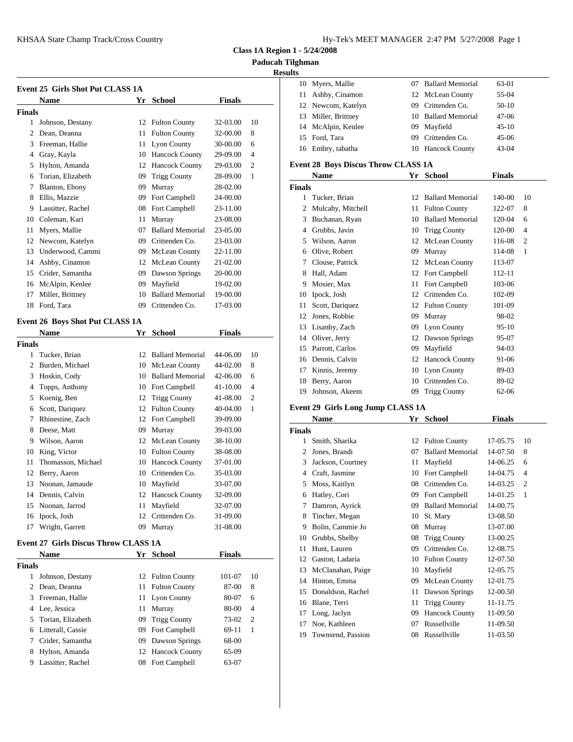**Name Yr School Finals**

 Johnson, Destany 12 Fulton County 32-03.00 10 Dean, Deanna 11 Fulton County 32-00.00 8 Freeman, Hallie 11 Lyon County 30-00.00 6 Gray, Kayla 10 Hancock County 29-09.00 4 Hylton, Amanda 12 Hancock County 29-03.00 2 Torian, Elizabeth 09 Trigg County 28-09.00 1

**Event 25 Girls Shot Put CLASS 1A**

**Finals**

| Hy-Tek's MEET MANAGER 2:47 PM 5/27/2008 Page 1 |  |  |  |  |  |  |  |
|------------------------------------------------|--|--|--|--|--|--|--|
|------------------------------------------------|--|--|--|--|--|--|--|

**Class 1A Region 1 - 5/24/2008**

**Paducah Tilghman**

### **Results**

|     | 10 Myers, Mallie    |     | 07 Ballard Memorial | 63-01   |
|-----|---------------------|-----|---------------------|---------|
| 11. | Ashby, Cinamon      |     | 12 McLean County    | 55-04   |
|     | 12 Newcom, Katelyn  |     | 09 Crittenden Co.   | $50-10$ |
|     | 13 Miller, Brittney |     | 10 Ballard Memorial | $47-06$ |
|     | 14 McAlpin, Kenlee  |     | 09 Mayfield         | $45-10$ |
|     | 15 Ford, Tara       | 09. | Crittenden Co.      | $45-06$ |
|     | 16 Embry, tabatha   |     | 10 Hancock County   | $43-04$ |
|     |                     |     |                     |         |

### **Event 28 Boys Discus Throw CLASS 1A**

| 6 Torian, Elizabeth           | 09 Trigg County     | 28-09.00       | Name                 | Yr School           | <b>Finals</b> |
|-------------------------------|---------------------|----------------|----------------------|---------------------|---------------|
| 7 Blanton, Ebony              | 09 Murray           | 28-02.00       | <b>Finals</b>        |                     |               |
| 8 Ellis, Mazzie               | 09 Fort Campbell    | 24-00.00       | Tucker, Brian        | 12 Ballard Memorial | 140-00<br>-10 |
| 9 Lassitter, Rachel           | 08 Fort Campbell    | 23-11.00       | 2 Mulcahy, Mitchell  | 11 Fulton County    | 122-07<br>-8  |
| 10 Coleman, Kari              | 11 Murray           | 23-08.00       | 3 Buchanan, Ryan     | 10 Ballard Memorial | 120-04<br>-6  |
| 11 Myers, Mallie              | 07 Ballard Memorial | 23-05.00       | 4 Grubbs, Javin      | 10 Trigg County     | 120-00 4      |
| 2 Newcom, Katelyn             | 09 Crittenden Co.   | 23-03.00       | 5 Wilson, Aaron      | 12 McLean County    | 116-08 2      |
| 13 Underwood, Cammi           | 09 McLean County    | 22-11.00       | 6 Olive, Robert      | 09 Murray           | 114-08<br>- 1 |
| 14 Ashby, Cinamon             | 12 McLean County    | 21-02.00       | 7 Clouse, Patrick    | 12 McLean County    | 113-07        |
| 15 Crider, Samantha           | 09 Dawson Springs   | 20-00.00       | 8 Hall, Adam         | 12 Fort Campbell    | 112-11        |
| 16 McAlpin, Kenlee            | 09 Mayfield         | 19-02.00       | 9 Mosier, Max        | 11 Fort Campbell    | 103-06        |
| 17 Miller, Brittney           | 10 Ballard Memorial | 19-00.00       | 10 Ipock, Josh       | 12 Crittenden Co.   | 102-09        |
| 18 Ford, Tara                 | 09 Crittenden Co.   | 17-03.00       | Scott, Dariquez      | 12 Fulton County    | 101-09        |
| ent 26 Boys Shot Put CLASS 1A |                     |                | Jones, Robbie        | 09 Murray           | 98-02         |
| Name                          | Yr School           | <b>Finals</b>  | 13 Lisanby, Zach     | 09 Lyon County      | $95-10$       |
|                               |                     |                | 14 Oliver, Jerry     | 12 Dawson Springs   | 95-07         |
| als                           |                     |                | 15 Parrott, Carlos   | 09 Mayfield         | 94-03         |
| 1 Tucker, Brian               | 12 Ballard Memorial | 44-06.00<br>10 | 16 Dennis, Calvin    | 12 Hancock County   | 91-06         |
| 2 Burden, Michael             | 10 McLean County    | 44-02.00<br>8  | Kinnis, Jeremy       | 10 Lyon County      | 89-03         |
| 3 Hoskin, Cody                | 10 Ballard Memorial | 42-06.00<br>6  | Berry, Aaron<br>18   | 10 Crittenden Co.   | 89-02         |
| 4 Topps, Anthony              | 10 Fort Campbell    | 41-10.00       | Johnson, Akeem<br>19 | 09 Trigg County     | 62-06         |
|                               |                     | .              |                      |                     |               |

|        | Name              | Yr | <b>School</b>           | <b>Finals</b> |                |
|--------|-------------------|----|-------------------------|---------------|----------------|
| Finals |                   |    |                         |               |                |
| 1      | Smith, Sharika    | 12 | <b>Fulton County</b>    | 17-05.75      | 10             |
| 2      | Jones, Brandi     | 07 | <b>Ballard Memorial</b> | 14-07.50      | 8              |
| 3      | Jackson, Courtney | 11 | Mayfield                | 14-06.25      | 6              |
|        | Craft, Jasmine    | 10 | Fort Campbell           | 14-04.75      | $\overline{4}$ |
| 5      | Moss, Kaitlyn     | 08 | Crittenden Co.          | 14-03.25      | $\overline{c}$ |
| 6      | Hatley, Cori      | 09 | Fort Campbell           | 14-01.25      | 1              |
| 7      | Damron, Ayrick    | 09 | <b>Ballard Memorial</b> | 14-00.75      |                |
| 8      | Tincher, Megan    | 10 | St. Mary                | 13-08.50      |                |
| 9      | Bolin, Cammie Jo  | 08 | Murray                  | 13-07.00      |                |
| 10     | Grubbs, Shelby    | 08 | <b>Trigg County</b>     | 13-00.25      |                |
| 11     | Hunt, Lauren      | 09 | Crittenden Co.          | 12-08.75      |                |
| 12     | Gaston, Ladaria   | 10 | <b>Fulton County</b>    | 12-07.50      |                |
| 13     | McClanahan, Paige | 10 | Mayfield                | 12-05.75      |                |
| 14     | Hinton, Emma      | 09 | McLean County           | 12-01.75      |                |
| 15     | Donaldson, Rachel | 11 | Dawson Springs          | 12-00.50      |                |
| 16     | Blane, Terri      | 11 | <b>Trigg County</b>     | 11-11.75      |                |
| 17     | Long, Jaclyn      | 09 | <b>Hancock County</b>   | 11-09.50      |                |
| 17     | Noe, Kathleen     | 07 | Russellville            | 11-09.50      |                |
| 19     | Townsend, Passion | 08 | Russellville            | 11-03.50      |                |
|        |                   |    |                         |               |                |

|               | 18 Ford, Tara                   | 09 | Crittenden Co.      | 17-03.00      |                |               | Scott, Dariquez                   |    | 12 Fulton County        | 101-09        |                |
|---------------|---------------------------------|----|---------------------|---------------|----------------|---------------|-----------------------------------|----|-------------------------|---------------|----------------|
|               |                                 |    |                     |               |                | 12            | Jones, Robbie                     |    | 09 Murray               | 98-02         |                |
|               | Event 26 Boys Shot Put CLASS 1A |    |                     |               |                | 13            | Lisanby, Zach                     |    | 09 Lyon County          | $95-10$       |                |
|               | <b>Name</b>                     |    | Yr School           | <b>Finals</b> |                | 14            | Oliver, Jerry                     |    | 12 Dawson Springs       | 95-07         |                |
| <b>Finals</b> |                                 |    |                     |               |                | 15            | Parrott, Carlos                   |    | 09 Mayfield             | 94-03         |                |
|               | Tucker, Brian                   |    | 12 Ballard Memorial | 44-06.00      | -10            |               | 16 Dennis, Calvin                 |    | 12 Hancock County       | 91-06         |                |
|               | Burden, Michael                 |    | 10 McLean County    | 44-02.00      | 8              | 17            | Kinnis, Jeremy                    |    | 10 Lyon County          | 89-03         |                |
|               | 3 Hoskin, Cody                  |    | 10 Ballard Memorial | 42-06.00      | -6             |               | 18 Berry, Aaron                   |    | 10 Crittenden Co.       | 89-02         |                |
|               | 4 Topps, Anthony                |    | 10 Fort Campbell    | 41-10.00      | $\overline{4}$ | 19            | Johnson, Akeem                    |    | 09 Trigg County         | 62-06         |                |
|               | 5 Koenig, Ben                   |    | 12 Trigg County     | 41-08.00      | $\overline{2}$ |               |                                   |    |                         |               |                |
|               | 6 Scott, Dariquez               |    | 12 Fulton County    | 40-04.00      |                |               | Event 29 Girls Long Jump CLASS 1A |    |                         |               |                |
|               | Rhinestine, Zach                |    | 12 Fort Campbell    | 39-09.00      |                |               | <b>Name</b>                       |    | Yr School               | <b>Finals</b> |                |
| 8.            | Deese, Matt                     |    | 09 Murray           | 39-03.00      |                | <b>Finals</b> |                                   |    |                         |               |                |
| 9.            | Wilson, Aaron                   |    | 12 McLean County    | 38-10.00      |                |               | Smith, Sharika                    |    | 12 Fulton County        | 17-05.75      | -10            |
|               | 10 King, Victor                 |    | 10 Fulton County    | 38-08.00      |                |               | 2 Jones, Brandi                   | 07 | <b>Ballard Memorial</b> | 14-07.50      | 8              |
|               | Thomasson, Michael              |    | 10 Hancock County   | 37-01.00      |                |               | 3 Jackson, Courtney               |    | 11 Mayfield             | 14-06.25      | -6             |
| 12            | Berry, Aaron                    |    | 10 Crittenden Co.   | 35-03.00      |                |               | 4 Craft, Jasmine                  |    | 10 Fort Campbell        | 14-04.75      | $\overline{4}$ |
| 13            | Noonan, Jamaude                 |    | 10 Mayfield         | 33-07.00      |                |               | 5 Moss, Kaitlyn                   |    | 08 Crittenden Co.       | 14-03.25      | $\overline{2}$ |
| 14            | Dennis, Calvin                  |    | 12 Hancock County   | 32-09.00      |                |               | 6 Hatley, Cori                    |    | 09 Fort Campbell        | 14-01.25      |                |
| 15            | Noonan, Jarrod                  |    | 11 Mayfield         | 32-07.00      |                |               | 7 Damron, Ayrick                  | 09 | <b>Ballard Memorial</b> | 14-00.75      |                |
|               | 16 Ipock, Josh                  |    | 12 Crittenden Co.   | 31-09.00      |                |               | 8 Tincher, Megan                  |    | 10 St. Mary             | 13-08.50      |                |

### **Event 27 Girls Discus Throw CLASS 1A**

|        |                     |     |                   |               |                | 11 | Hunt.     |
|--------|---------------------|-----|-------------------|---------------|----------------|----|-----------|
|        | <b>Name</b>         |     | Yr School         | <b>Finals</b> |                |    |           |
| Finals |                     |     |                   |               |                |    | 12 Gasto  |
| 1      | Johnson, Destany    |     | 12 Fulton County  | 101-07        | 10             | 13 | McCl      |
|        |                     |     |                   |               |                |    | 14 Hinto  |
|        | 2 Dean, Deanna      |     | 11 Fulton County  | 87-00         | 8              |    | 15 Donal  |
|        | 3 Freeman, Hallie   |     | 11 Lyon County    | 80-07         | 6              |    | 16 Blane  |
|        | 4 Lee. Jessica      |     | 11 Murray         | 80-00         | $\overline{4}$ | 17 | Long,     |
|        | 5 Torian, Elizabeth |     | 09 Trigg County   | 73-02         | - 2            |    | 17 Noe, 1 |
|        | 6 Litterall, Cassie | 09  | Fort Campbell     | 69-11         | -1             | 19 | Town      |
|        | 7 Crider, Samantha  | 09. | Dawson Springs    | 68-00         |                |    |           |
| 8      | Hylton, Amanda      |     | 12 Hancock County | $65-09$       |                |    |           |
| 9      | Lassitter, Rachel   |     | 08 Fort Campbell  | 63-07         |                |    |           |

Wright, Garrett 09 Murray 31-08.00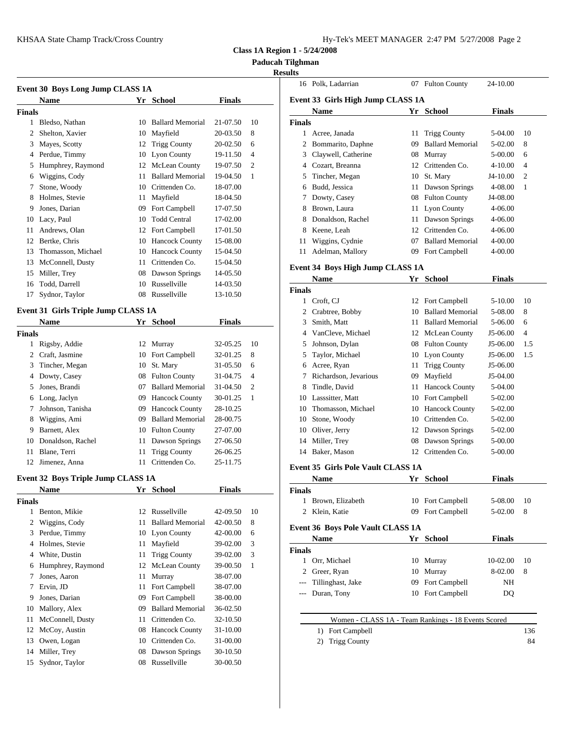| Hy-Tek's MEET MANAGER  2:47 PM  5/27/2008  Page 2 |  |  |  |
|---------------------------------------------------|--|--|--|
|---------------------------------------------------|--|--|--|

**Class 1A Region 1 - 5/24/2008**

**Paducah Tilghman**

### **Results**

| Event 30 Boys Long Jump CLASS 1A |                                                                             |    |                         |               |                |               | 16 Polk,    |
|----------------------------------|-----------------------------------------------------------------------------|----|-------------------------|---------------|----------------|---------------|-------------|
|                                  | <b>Name</b>                                                                 |    | Yr School               | <b>Finals</b> |                | Event 33 G    |             |
| <b>Finals</b>                    |                                                                             |    |                         |               |                |               | <b>Nam</b>  |
|                                  | Bledso, Nathan                                                              | 10 | <b>Ballard Memorial</b> | 21-07.50      | 10             | <b>Finals</b> |             |
| 2                                | Shelton, Xavier                                                             | 10 | Mayfield                | 20-03.50      | 8              | 1             | Acree       |
| 3                                | Mayes, Scotty                                                               | 12 | <b>Trigg County</b>     | 20-02.50      | 6              |               | Bomr        |
| 4                                | Perdue, Timmy                                                               | 10 | Lyon County             | 19-11.50      | $\overline{4}$ | 3             | Clayv       |
| 5                                | Humphrey, Raymond                                                           |    | 12 McLean County        | 19-07.50      | $\overline{2}$ |               | Cozar       |
| 6                                | Wiggins, Cody                                                               | 11 | <b>Ballard Memorial</b> | 19-04.50      | 1              |               | Tinch       |
|                                  | Stone, Woody                                                                | 10 | Crittenden Co.          | 18-07.00      |                | 6             | Budd.       |
| 8                                | Holmes, Stevie                                                              | 11 | Mayfield                | 18-04.50      |                |               | Dowt        |
| 9                                | Jones, Darian                                                               | 09 | Fort Campbell           | 17-07.50      |                | 8             | <b>Brow</b> |
| 10                               | Lacy, Paul                                                                  | 10 | <b>Todd Central</b>     | 17-02.00      |                | 8             | Donal       |
| 11                               | Andrews, Olan                                                               |    | 12 Fort Campbell        | 17-01.50      |                |               | Keene       |
| 12                               | Bertke, Chris                                                               | 10 | <b>Hancock County</b>   | 15-08.00      |                | 11            | Wigg        |
| 13                               | Thomasson, Michael                                                          | 10 | <b>Hancock County</b>   | 15-04.50      |                | 11            | Adelr       |
| 13                               | McConnell, Dusty                                                            | 11 | Crittenden Co.          | 15-04.50      |                |               |             |
| 15                               | Miller, Trey                                                                | 08 | Dawson Springs          | 14-05.50      |                | Event 34 B    |             |
| 16                               | Todd, Darrell                                                               | 10 | Russellville            | 14-03.50      |                |               | <b>Nam</b>  |
| 17                               | Sydnor, Taylor                                                              | 08 | Russellville            | 13-10.50      |                | <b>Finals</b> | Croft,      |
|                                  | $E$ <sub>rant</sub> 21. Circle Triple Input CI $\triangle$ CC 1 $\triangle$ |    |                         |               |                |               | $\sim$ 1.   |

### **Event 31 Girls Triple Jump CLASS 1A**

|        | <b>Name</b>          |    | Yr School               | <b>Finals</b> |                | $\mathcal{F}$  | Smith                |
|--------|----------------------|----|-------------------------|---------------|----------------|----------------|----------------------|
| Finals |                      |    |                         |               |                |                | 4 VanC               |
| 1      | Rigsby, Addie        |    | 12 Murray               | 32-05.25      | 10             | 5.             | Johns                |
| 2      | Craft, Jasmine       |    | 10 Fort Campbell        | 32-01.25      | 8              |                | 5 Taylo              |
|        | 3 Tincher, Megan     |    | 10 St. Mary             | 31-05.50      | 6              |                | 6 Acree              |
|        | 4 Dowty, Casey       |    | 08 Fulton County        | 31-04.75      | $\overline{4}$ | 7              | Richa                |
| 5.     | Jones, Brandi        | 07 | <b>Ballard Memorial</b> | 31-04.50      | 2              | 8              | Tindle               |
|        | 6 Long, Jaclyn       | 09 | <b>Hancock County</b>   | 30-01.25      | -1             | 10             | Lasss                |
|        | Johnson, Tanisha     | 09 | <b>Hancock County</b>   | 28-10.25      |                | 10             | Thom                 |
| 8      | Wiggins, Ami         | 09 | <b>Ballard Memorial</b> | 28-00.75      |                | 10             | Stone                |
| 9      | Barnett, Alex        |    | 10 Fulton County        | 27-07.00      |                | 10             | Olive                |
|        | 10 Donaldson, Rachel |    | 11 Dawson Springs       | 27-06.50      |                |                | 14 Miller            |
| 11     | Blane, Terri         |    | 11 Trigg County         | 26-06.25      |                |                | 14 Baker             |
| 12.    | Jimenez, Anna        | 11 | Crittenden Co.          | 25-11.75      |                | $\blacksquare$ | $\sim$ $\sim$ $\sim$ |

# **Event 32 Boys Triple Jump CLASS 1A**<br>Name **Wr. School**

|        | <b>Name</b>       | Yr | <b>School</b>           | <b>Finals</b> |    | <b>Finals</b> |
|--------|-------------------|----|-------------------------|---------------|----|---------------|
| Finals |                   |    |                         |               |    | <b>Brow</b>   |
|        | Benton, Mikie     | 12 | Russellville            | 42-09.50      | 10 | Klein<br>2    |
| 2      | Wiggins, Cody     |    | 11 Ballard Memorial     | 42-00.50      | 8  | Event 36 B    |
| 3      | Perdue, Timmy     |    | 10 Lyon County          | 42-00.00      | 6  | <b>Nam</b>    |
|        | Holmes, Stevie    | 11 | Mayfield                | 39-02.00      | 3  |               |
| 4      | White, Dustin     | 11 | <b>Trigg County</b>     | 39-02.00      | 3  | <b>Finals</b> |
| 6      | Humphrey, Raymond |    | 12 McLean County        | 39-00.50      | 1  | Orr, N        |
| 7      | Jones, Aaron      | 11 | Murray                  | 38-07.00      |    | Greer         |
| 7      | Ervin, JD         |    | 11 Fort Campbell        | 38-07.00      |    | Tillin        |
| 9      | Jones, Darian     | 09 | Fort Campbell           | 38-00.00      |    | Durar         |
| 10     | Mallory, Alex     | 09 | <b>Ballard Memorial</b> | 36-02.50      |    |               |
| 11     | McConnell, Dusty  | 11 | Crittenden Co.          | 32-10.50      |    |               |
| 12     | McCoy, Austin     |    | 08 Hancock County       | 31-10.00      |    | 1)            |
| 13     | Owen, Logan       | 10 | Crittenden Co.          | 31-00.00      |    | 2)            |
| 14     | Miller, Trey      | 08 | Dawson Springs          | 30-10.50      |    |               |
| 15     | Sydnor, Taylor    | 08 | Russellville            | 30-00.50      |    |               |
|        |                   |    |                         |               |    |               |

| ПS     |                                   |    |                         |               |                |
|--------|-----------------------------------|----|-------------------------|---------------|----------------|
|        | 16 Polk, Ladarrian                | 07 | <b>Fulton County</b>    | 24-10.00      |                |
|        | Event 33 Girls High Jump CLASS 1A |    |                         |               |                |
|        | <b>Name</b>                       | Yr | <b>School</b>           | <b>Finals</b> |                |
| Finals |                                   |    |                         |               |                |
|        | Acree, Janada                     | 11 | <b>Trigg County</b>     | 5-04.00       | 10             |
| 2      | Bommarito, Daphne                 | 09 | <b>Ballard Memorial</b> | 5-02.00       | 8              |
| 3      | Claywell, Catherine               | 08 | Murray                  | 5-00.00       | 6              |
| 4      | Cozart, Breanna                   | 12 | Crittenden Co.          | $4 - 10.00$   | $\overline{4}$ |
| 5      | Tincher, Megan                    | 10 | St. Mary                | $J4-10.00$    | $\overline{c}$ |
| 6      | Budd, Jessica                     | 11 | Dawson Springs          | 4-08.00       | 1              |
| 7      | Dowty, Casey                      | 08 | <b>Fulton County</b>    | J4-08.00      |                |
| 8      | Brown, Laura                      |    | 11 Lyon County          | $4 - 06.00$   |                |
| 8      | Donaldson, Rachel                 | 11 | Dawson Springs          | $4 - 06.00$   |                |
| 8      | Keene, Leah                       | 12 | Crittenden Co.          | $4 - 06.00$   |                |
| 11     | Wiggins, Cydnie                   | 07 | <b>Ballard Memorial</b> | 4-00.00       |                |
| 11     | Adelman, Mallory                  | 09 | Fort Campbell           | 4-00.00       |                |
|        |                                   |    |                         |               |                |

## **Event 34 Boys High Jump CLASS 1A**

|        | Name                  | Yr | <b>School</b>           | <b>Finals</b> |                |
|--------|-----------------------|----|-------------------------|---------------|----------------|
| Finals |                       |    |                         |               |                |
| 1      | Croft, CJ             |    | 12 Fort Campbell        | 5-10.00       | 10             |
| 2      | Crabtree, Bobby       | 10 | <b>Ballard Memorial</b> | 5-08.00       | 8              |
| 3      | Smith, Matt           | 11 | <b>Ballard Memorial</b> | 5-06.00       | 6              |
|        | VanCleve, Michael     |    | 12 McLean County        | J5-06.00      | $\overline{4}$ |
| 5      | Johnson, Dylan        |    | 08 Fulton County        | J5-06.00      | 1.5            |
| 5      | Taylor, Michael       |    | 10 Lyon County          | J5-06.00      | 1.5            |
| 6      | Acree, Ryan           |    | 11 Trigg County         | J5-06.00      |                |
| 7      | Richardson, Jevarious | 09 | Mayfield                | J5-04.00      |                |
| 8      | Tindle, David         | 11 | <b>Hancock County</b>   | 5-04.00       |                |
| 10     | Lasssitter, Matt      |    | 10 Fort Campbell        | 5-02.00       |                |
| 10     | Thomasson, Michael    |    | 10 Hancock County       | 5-02.00       |                |
| 10     | Stone, Woody          | 10 | Crittenden Co.          | 5-02.00       |                |
| 10     | Oliver, Jerry         |    | 12 Dawson Springs       | 5-02.00       |                |
| 14     | Miller, Trey          | 08 | Dawson Springs          | 5-00.00       |                |
| 14     | Baker, Mason          | 12 | Crittenden Co.          | 5-00.00       |                |

### **Event 35 Girls Pole Vault CLASS 1A**

|        | <b>Name</b>                                         | Yr   | School        | <b>Finals</b> |     |
|--------|-----------------------------------------------------|------|---------------|---------------|-----|
| Finals |                                                     |      |               |               |     |
|        | Brown, Elizabeth                                    | 10   | Fort Campbell | 5-08.00       | 10  |
| 2      | Klein, Katie                                        | 09   | Fort Campbell | 5-02.00       | 8   |
|        | <b>Event 36 Boys Pole Vault CLASS 1A</b>            |      |               |               |     |
|        | <b>Name</b>                                         | Yr - | <b>School</b> | <b>Finals</b> |     |
| Finals |                                                     |      |               |               |     |
|        | Orr, Michael                                        | 10   | Murray        | 10-02.00      | 10  |
| 2      | Greer, Ryan                                         | 10   | Murray        | 8-02.00       | 8   |
| $---$  | Tillinghast, Jake                                   | 09   | Fort Campbell | NH            |     |
| $---$  | Duran, Tony                                         | 10   | Fort Campbell | DQ            |     |
|        |                                                     |      |               |               |     |
|        | Women - CLASS 1A - Team Rankings - 18 Events Scored |      |               |               |     |
|        | Fort Campbell<br>1)                                 |      |               |               | 136 |
|        | <b>Trigg County</b><br>2)                           |      |               |               | 84  |